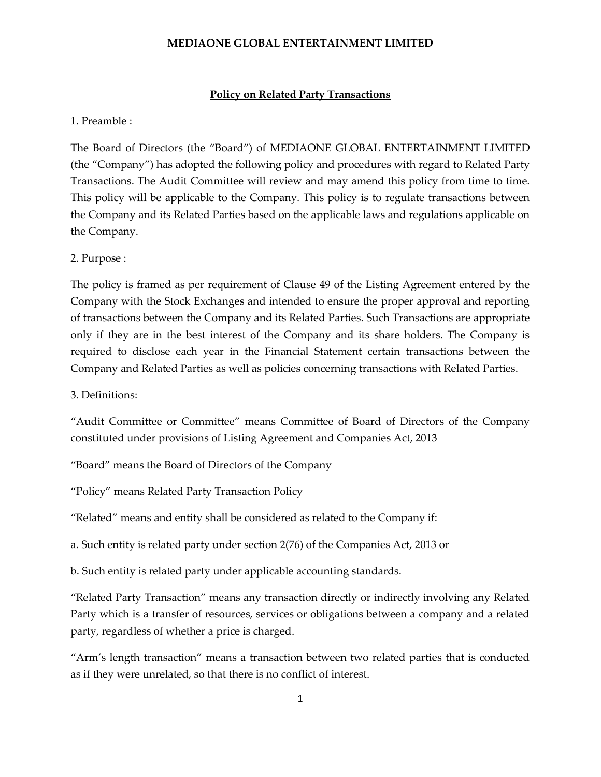#### **Policy on Related Party Transactions**

### 1. Preamble :

The Board of Directors (the "Board") of MEDIAONE GLOBAL ENTERTAINMENT LIMITED (the "Company") has adopted the following policy and procedures with regard to Related Party Transactions. The Audit Committee will review and may amend this policy from time to time. This policy will be applicable to the Company. This policy is to regulate transactions between the Company and its Related Parties based on the applicable laws and regulations applicable on the Company.

#### 2. Purpose :

The policy is framed as per requirement of Clause 49 of the Listing Agreement entered by the Company with the Stock Exchanges and intended to ensure the proper approval and reporting of transactions between the Company and its Related Parties. Such Transactions are appropriate only if they are in the best interest of the Company and its share holders. The Company is required to disclose each year in the Financial Statement certain transactions between the Company and Related Parties as well as policies concerning transactions with Related Parties.

3. Definitions:

"Audit Committee or Committee" means Committee of Board of Directors of the Company constituted under provisions of Listing Agreement and Companies Act, 2013

"Board" means the Board of Directors of the Company

"Policy" means Related Party Transaction Policy

"Related" means and entity shall be considered as related to the Company if:

a. Such entity is related party under section 2(76) of the Companies Act, 2013 or

b. Such entity is related party under applicable accounting standards.

"Related Party Transaction" means any transaction directly or indirectly involving any Related Party which is a transfer of resources, services or obligations between a company and a related party, regardless of whether a price is charged.

"Arm's length transaction" means a transaction between two related parties that is conducted as if they were unrelated, so that there is no conflict of interest.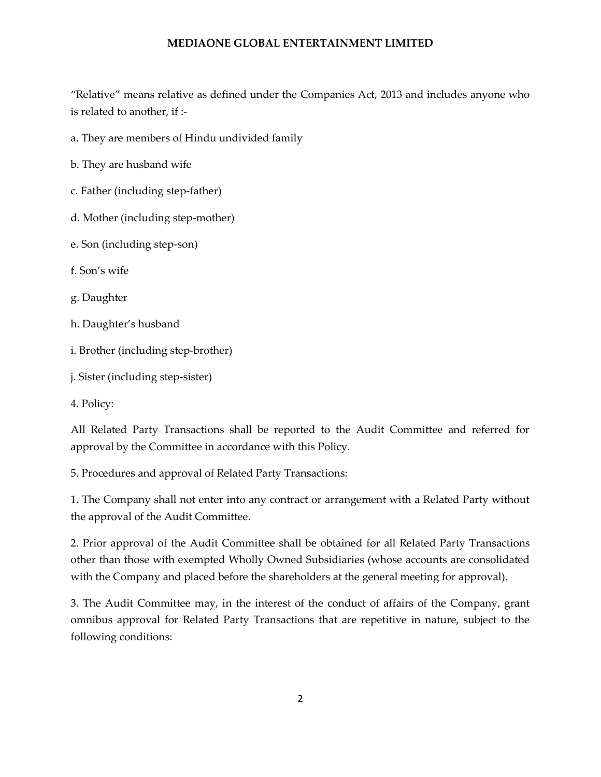"Relative" means relative as defined under the Companies Act, 2013 and includes anyone who is related to another, if :-

a. They are members of Hindu undivided family

b. They are husband wife

c. Father (including step-father)

d. Mother (including step-mother)

e. Son (including step-son)

f. Son's wife

g. Daughter

h. Daughter's husband

i. Brother (including step-brother)

j. Sister (including step-sister)

4. Policy:

All Related Party Transactions shall be reported to the Audit Committee and referred for approval by the Committee in accordance with this Policy.

5. Procedures and approval of Related Party Transactions:

1. The Company shall not enter into any contract or arrangement with a Related Party without the approval of the Audit Committee.

2. Prior approval of the Audit Committee shall be obtained for all Related Party Transactions other than those with exempted Wholly Owned Subsidiaries (whose accounts are consolidated with the Company and placed before the shareholders at the general meeting for approval).

3. The Audit Committee may, in the interest of the conduct of affairs of the Company, grant omnibus approval for Related Party Transactions that are repetitive in nature, subject to the following conditions: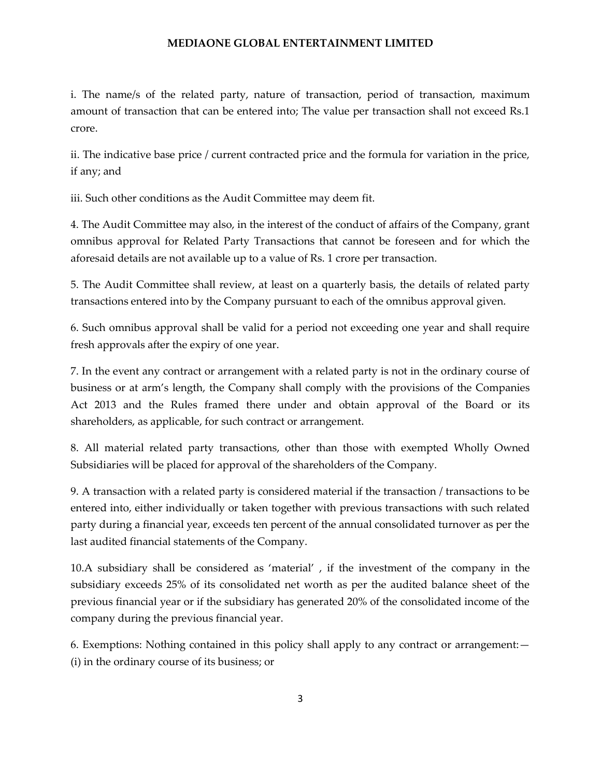i. The name/s of the related party, nature of transaction, period of transaction, maximum amount of transaction that can be entered into; The value per transaction shall not exceed Rs.1 crore.

ii. The indicative base price / current contracted price and the formula for variation in the price, if any; and

iii. Such other conditions as the Audit Committee may deem fit.

4. The Audit Committee may also, in the interest of the conduct of affairs of the Company, grant omnibus approval for Related Party Transactions that cannot be foreseen and for which the aforesaid details are not available up to a value of Rs. 1 crore per transaction.

5. The Audit Committee shall review, at least on a quarterly basis, the details of related party transactions entered into by the Company pursuant to each of the omnibus approval given.

6. Such omnibus approval shall be valid for a period not exceeding one year and shall require fresh approvals after the expiry of one year.

7. In the event any contract or arrangement with a related party is not in the ordinary course of business or at arm's length, the Company shall comply with the provisions of the Companies Act 2013 and the Rules framed there under and obtain approval of the Board or its shareholders, as applicable, for such contract or arrangement.

8. All material related party transactions, other than those with exempted Wholly Owned Subsidiaries will be placed for approval of the shareholders of the Company.

9. A transaction with a related party is considered material if the transaction / transactions to be entered into, either individually or taken together with previous transactions with such related party during a financial year, exceeds ten percent of the annual consolidated turnover as per the last audited financial statements of the Company.

10.A subsidiary shall be considered as 'material' , if the investment of the company in the subsidiary exceeds 25% of its consolidated net worth as per the audited balance sheet of the previous financial year or if the subsidiary has generated 20% of the consolidated income of the company during the previous financial year.

6. Exemptions: Nothing contained in this policy shall apply to any contract or arrangement:— (i) in the ordinary course of its business; or